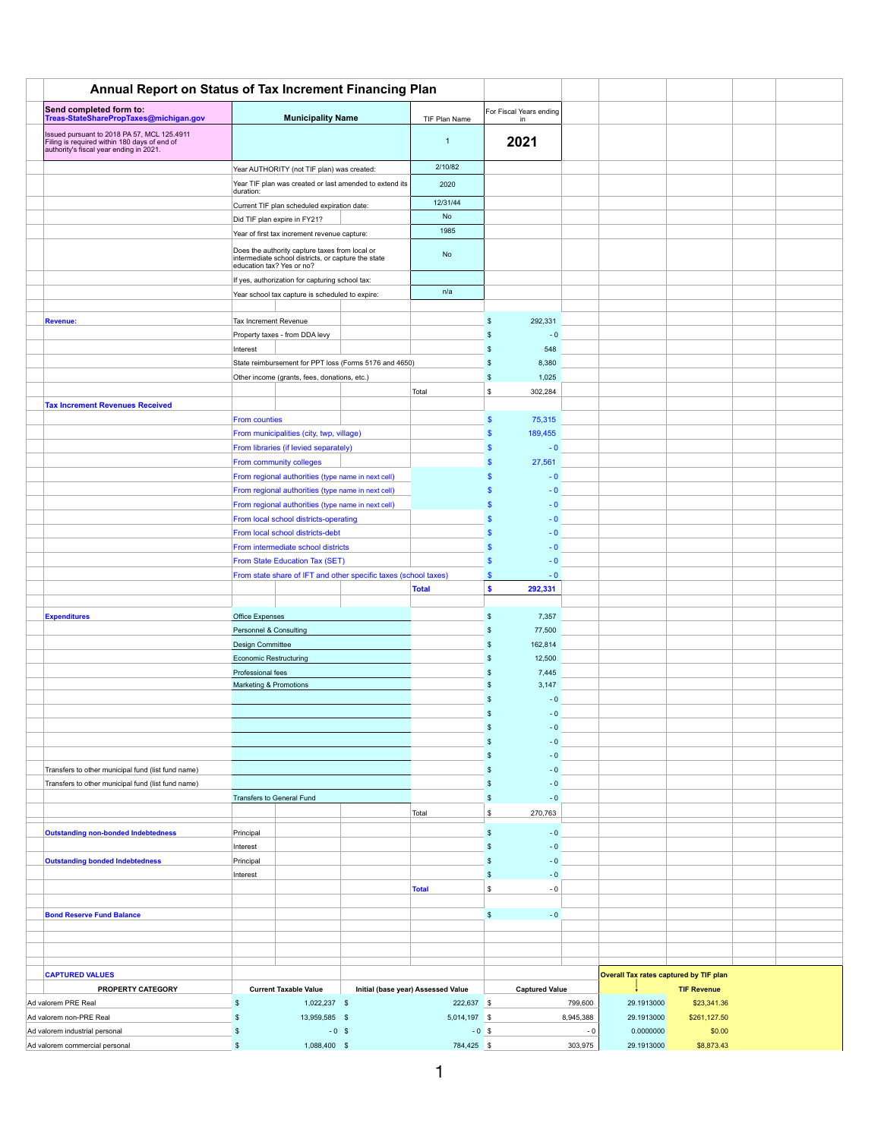| <b>Annual Report on Status of Tax Increment Financing Plan</b>                                                                                                                   |                                                                                                                                    |                                                                                                          |                                                        |                             |                          |                 |                                               |                      |  |
|----------------------------------------------------------------------------------------------------------------------------------------------------------------------------------|------------------------------------------------------------------------------------------------------------------------------------|----------------------------------------------------------------------------------------------------------|--------------------------------------------------------|-----------------------------|--------------------------|-----------------|-----------------------------------------------|----------------------|--|
| <b>Send completed form to:</b>                                                                                                                                                   |                                                                                                                                    |                                                                                                          |                                                        |                             | For Fiscal Years ending  |                 |                                               |                      |  |
| Treas-StateSharePropTaxes@michigan.gov<br>Issued pursuant to 2018 PA 57, MCL 125.4911<br>Filing is required within 180 days of end of<br>authority's fiscal year ending in 2021. | <b>Municipality Name</b>                                                                                                           |                                                                                                          |                                                        | TIF Plan Name               | in<br>2021               |                 |                                               |                      |  |
|                                                                                                                                                                                  |                                                                                                                                    |                                                                                                          |                                                        |                             |                          |                 |                                               |                      |  |
|                                                                                                                                                                                  | Year AUTHORITY (not TIF plan) was created:                                                                                         |                                                                                                          |                                                        | 2/10/82                     |                          |                 |                                               |                      |  |
|                                                                                                                                                                                  | Year TIF plan was created or last amended to extend its<br>duration:                                                               |                                                                                                          |                                                        | 2020                        |                          |                 |                                               |                      |  |
|                                                                                                                                                                                  | Current TIF plan scheduled expiration date:                                                                                        |                                                                                                          |                                                        | 12/31/44                    |                          |                 |                                               |                      |  |
|                                                                                                                                                                                  | Did TIF plan expire in FY21?                                                                                                       |                                                                                                          |                                                        | No<br>1985                  |                          |                 |                                               |                      |  |
|                                                                                                                                                                                  | Year of first tax increment revenue capture:                                                                                       |                                                                                                          |                                                        |                             |                          |                 |                                               |                      |  |
|                                                                                                                                                                                  | Does the authority capture taxes from local or<br>intermediate school districts, or capture the state<br>education tax? Yes or no? |                                                                                                          |                                                        | No                          |                          |                 |                                               |                      |  |
|                                                                                                                                                                                  |                                                                                                                                    | If yes, authorization for capturing school tax:                                                          |                                                        |                             |                          |                 |                                               |                      |  |
|                                                                                                                                                                                  |                                                                                                                                    | Year school tax capture is scheduled to expire:                                                          |                                                        |                             |                          |                 |                                               |                      |  |
| <b>Revenue:</b>                                                                                                                                                                  | <b>Tax Increment Revenue</b>                                                                                                       |                                                                                                          |                                                        |                             | 292,331                  |                 |                                               |                      |  |
|                                                                                                                                                                                  |                                                                                                                                    | Property taxes - from DDA levy                                                                           |                                                        |                             | $-0$                     |                 |                                               |                      |  |
|                                                                                                                                                                                  | Interest                                                                                                                           |                                                                                                          |                                                        |                             | 548                      |                 |                                               |                      |  |
|                                                                                                                                                                                  |                                                                                                                                    | Other income (grants, fees, donations, etc.)                                                             | State reimbursement for PPT loss (Forms 5176 and 4650) |                             | 8,380<br>1,025<br>\$     |                 |                                               |                      |  |
|                                                                                                                                                                                  |                                                                                                                                    |                                                                                                          |                                                        | Total                       | 302,284<br>\$            |                 |                                               |                      |  |
| <b>Tax Increment Revenues Received</b>                                                                                                                                           |                                                                                                                                    |                                                                                                          |                                                        |                             |                          |                 |                                               |                      |  |
|                                                                                                                                                                                  | <b>From counties</b>                                                                                                               |                                                                                                          |                                                        |                             | 75,315<br>$\mathbf{\$}$  |                 |                                               |                      |  |
|                                                                                                                                                                                  |                                                                                                                                    | From municipalities (city, twp, village)                                                                 |                                                        |                             | 189,455                  |                 |                                               |                      |  |
|                                                                                                                                                                                  |                                                                                                                                    | From libraries (if levied separately)                                                                    |                                                        |                             | $-0$                     |                 |                                               |                      |  |
|                                                                                                                                                                                  |                                                                                                                                    | From community colleges                                                                                  |                                                        |                             | 27,561                   |                 |                                               |                      |  |
|                                                                                                                                                                                  |                                                                                                                                    | From regional authorities (type name in next cell)                                                       |                                                        |                             | $-0$<br>$-0$             |                 |                                               |                      |  |
|                                                                                                                                                                                  |                                                                                                                                    | From regional authorities (type name in next cell)<br>From regional authorities (type name in next cell) |                                                        |                             | $-0$                     |                 |                                               |                      |  |
|                                                                                                                                                                                  |                                                                                                                                    | From local school districts-operating                                                                    |                                                        |                             | $-0$                     |                 |                                               |                      |  |
|                                                                                                                                                                                  | From local school districts-debt                                                                                                   |                                                                                                          |                                                        |                             | $-0$                     |                 |                                               |                      |  |
|                                                                                                                                                                                  | From intermediate school districts                                                                                                 |                                                                                                          |                                                        |                             | $-0$                     |                 |                                               |                      |  |
|                                                                                                                                                                                  | From State Education Tax (SET)                                                                                                     |                                                                                                          |                                                        |                             | $-0$                     |                 |                                               |                      |  |
|                                                                                                                                                                                  |                                                                                                                                    | From state share of IFT and other specific taxes (school taxes)                                          |                                                        |                             | $-0$                     |                 |                                               |                      |  |
|                                                                                                                                                                                  |                                                                                                                                    |                                                                                                          |                                                        | <b>Total</b>                | 292,331<br>$\bullet$     |                 |                                               |                      |  |
| <b>Expenditures</b>                                                                                                                                                              | <b>Office Expenses</b>                                                                                                             |                                                                                                          |                                                        |                             | 7,357                    |                 |                                               |                      |  |
|                                                                                                                                                                                  | <b>Personnel &amp; Consulting</b>                                                                                                  |                                                                                                          |                                                        |                             | 77,500                   |                 |                                               |                      |  |
|                                                                                                                                                                                  | Design Committee                                                                                                                   |                                                                                                          |                                                        |                             | 162,814                  |                 |                                               |                      |  |
|                                                                                                                                                                                  | <b>Economic Restructuring</b>                                                                                                      |                                                                                                          |                                                        | 12,500                      |                          |                 |                                               |                      |  |
|                                                                                                                                                                                  |                                                                                                                                    | Professional fees<br><b>Marketing &amp; Promotions</b>                                                   |                                                        |                             | 7,445<br>3,147           |                 |                                               |                      |  |
|                                                                                                                                                                                  |                                                                                                                                    |                                                                                                          |                                                        |                             | $-0$                     |                 |                                               |                      |  |
|                                                                                                                                                                                  |                                                                                                                                    |                                                                                                          |                                                        |                             | $-0$                     |                 |                                               |                      |  |
|                                                                                                                                                                                  |                                                                                                                                    |                                                                                                          |                                                        |                             | $-0$                     |                 |                                               |                      |  |
|                                                                                                                                                                                  |                                                                                                                                    |                                                                                                          |                                                        |                             | $-0$                     |                 |                                               |                      |  |
|                                                                                                                                                                                  |                                                                                                                                    |                                                                                                          |                                                        |                             | $-0$                     |                 |                                               |                      |  |
| Transfers to other municipal fund (list fund name)<br>Transfers to other municipal fund (list fund name)                                                                         |                                                                                                                                    |                                                                                                          |                                                        |                             | $-0$<br>$-0$             |                 |                                               |                      |  |
|                                                                                                                                                                                  | <b>Transfers to General Fund</b>                                                                                                   |                                                                                                          |                                                        |                             | $-0$                     |                 |                                               |                      |  |
|                                                                                                                                                                                  |                                                                                                                                    |                                                                                                          |                                                        | Total                       | 270,763<br>$\frac{1}{2}$ |                 |                                               |                      |  |
|                                                                                                                                                                                  | Principal                                                                                                                          |                                                                                                          |                                                        |                             | $-0$                     |                 |                                               |                      |  |
| <b>Outstanding non-bonded Indebtedness</b>                                                                                                                                       | Interest                                                                                                                           |                                                                                                          |                                                        |                             | $-0$                     |                 |                                               |                      |  |
| <b>Outstanding bonded Indebtedness</b>                                                                                                                                           | Principal                                                                                                                          |                                                                                                          |                                                        |                             | $-0$                     |                 |                                               |                      |  |
|                                                                                                                                                                                  | Interest                                                                                                                           |                                                                                                          |                                                        |                             | $-0$                     |                 |                                               |                      |  |
|                                                                                                                                                                                  |                                                                                                                                    |                                                                                                          |                                                        | Total                       | $\frac{1}{2}$<br>$-0$    |                 |                                               |                      |  |
|                                                                                                                                                                                  |                                                                                                                                    |                                                                                                          |                                                        |                             |                          |                 |                                               |                      |  |
| <b>Bond Reserve Fund Balance</b>                                                                                                                                                 |                                                                                                                                    |                                                                                                          |                                                        |                             | $\mathfrak{L}$<br>$-0$   |                 |                                               |                      |  |
|                                                                                                                                                                                  |                                                                                                                                    |                                                                                                          |                                                        |                             |                          |                 |                                               |                      |  |
|                                                                                                                                                                                  |                                                                                                                                    |                                                                                                          |                                                        |                             |                          |                 |                                               |                      |  |
| <b>CAPTURED VALUES</b>                                                                                                                                                           |                                                                                                                                    |                                                                                                          |                                                        |                             |                          |                 | <b>Overall Tax rates captured by TIF plan</b> |                      |  |
| <b>PROPERTY CATEGORY</b>                                                                                                                                                         | <b>Current Taxable Value</b>                                                                                                       |                                                                                                          | Initial (base year) Assessed Value                     | <b>Captured Value</b>       |                          |                 | <b>TIF Revenue</b>                            |                      |  |
| Ad valorem PRE Real<br>1,022,237 \$                                                                                                                                              |                                                                                                                                    | 222,637 \$                                                                                               |                                                        | 799,600                     | 29.1913000               | \$23,341.36     |                                               |                      |  |
| Ad valorem non-PRE Real                                                                                                                                                          |                                                                                                                                    | 13,959,585 \$                                                                                            |                                                        | $5,014,197$ \$<br>8,945,388 |                          | 29.1913000      | \$261,127.50                                  |                      |  |
| Ad valorem industrial personal<br>Ad valorem commercial personal                                                                                                                 | -\$                                                                                                                                | 1,088,400 \$                                                                                             | $-0$ \$                                                | 784,425 \$                  | $-0$ \$                  | $-0$<br>303,975 | 0.0000000<br>29.1913000                       | \$0.00<br>\$8,873.43 |  |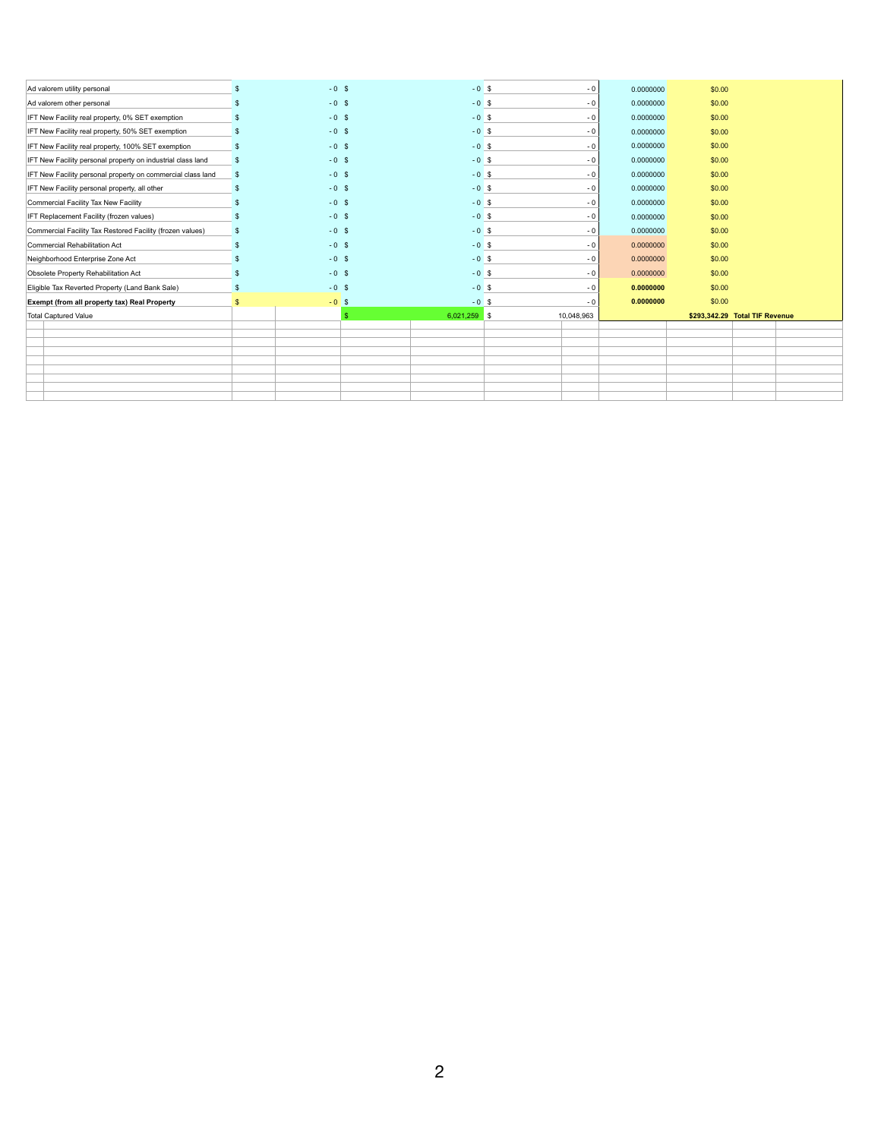| Ad valorem utility personal                                 |               | $-0$ \$ | $-0$ \$        | $-0$            | 0.0000000 | \$0.00 |                                |  |
|-------------------------------------------------------------|---------------|---------|----------------|-----------------|-----------|--------|--------------------------------|--|
| Ad valorem other personal                                   |               | $-0$ \$ | $-0$ \$        | $-0$            | 0.0000000 | \$0.00 |                                |  |
| IFT New Facility real property, 0% SET exemption            |               | $-0$ \$ | $-0$ \$        | $-0$            | 0.0000000 | \$0.00 |                                |  |
| IFT New Facility real property, 50% SET exemption           |               | $-0$ \$ | $-0$ \$        | $-0$            | 0.0000000 | \$0.00 |                                |  |
| IFT New Facility real property, 100% SET exemption          |               | $-0$ \$ | $-0$ \$        | $-0$            | 0.0000000 | \$0.00 |                                |  |
| IFT New Facility personal property on industrial class land | $\mathbb{S}$  | $-0$ \$ | $-0$ \$        | $-0$            | 0.0000000 | \$0.00 |                                |  |
| IFT New Facility personal property on commercial class land | $\sqrt[6]{3}$ | $-0$ \$ |                | $-0$ \$<br>$-0$ | 0.0000000 | \$0.00 |                                |  |
| IFT New Facility personal property, all other               |               | $-0$ \$ | $-0$ \$        | $-0$            | 0.0000000 | \$0.00 |                                |  |
| Commercial Facility Tax New Facility                        |               | $-0$ \$ | $-0$ \$        | $-0$            | 0.0000000 | \$0.00 |                                |  |
| IFT Replacement Facility (frozen values)                    |               | $-0$ \$ | $-0$ \$        | $-0$            | 0.0000000 | \$0.00 |                                |  |
| Commercial Facility Tax Restored Facility (frozen values)   |               | $-0$ \$ | $-0$ \$        | $-0$            | 0.0000000 | \$0.00 |                                |  |
| Commercial Rehabilitation Act                               |               | $-0$ \$ | $-0$ \$        | $-0$            | 0.0000000 | \$0.00 |                                |  |
| Neighborhood Enterprise Zone Act                            |               | $-0$ \$ | $-0$ \$        | $-0$            | 0.0000000 | \$0.00 |                                |  |
| Obsolete Property Rehabilitation Act                        |               | $-0$ \$ | $-0$ \$        | $-0$            | 0.0000000 | \$0.00 |                                |  |
|                                                             |               |         |                |                 |           |        |                                |  |
| Eligible Tax Reverted Property (Land Bank Sale)             | $\mathbb{S}$  | $-0$ \$ | $-0$ \$        | $-0$            | 0.0000000 | \$0.00 |                                |  |
| <b>Exempt (from all property tax) Real Property</b>         |               | $-0$ \$ | $-0$ \$        | $-0$            | 0.0000000 | \$0.00 |                                |  |
| Total Captured Value                                        |               |         | $6,021,259$ \$ | 10,048,963      |           |        | \$293,342.29 Total TIF Revenue |  |
|                                                             |               |         |                |                 |           |        |                                |  |
|                                                             |               |         |                |                 |           |        |                                |  |
|                                                             |               |         |                |                 |           |        |                                |  |
|                                                             |               |         |                |                 |           |        |                                |  |
|                                                             |               |         |                |                 |           |        |                                |  |
|                                                             |               |         |                |                 |           |        |                                |  |
|                                                             |               |         |                |                 |           |        |                                |  |
|                                                             |               |         |                |                 |           |        |                                |  |